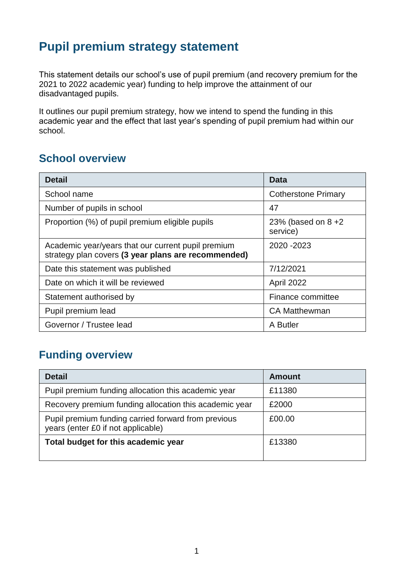## **Pupil premium strategy statement**

This statement details our school's use of pupil premium (and recovery premium for the 2021 to 2022 academic year) funding to help improve the attainment of our disadvantaged pupils.

It outlines our pupil premium strategy, how we intend to spend the funding in this academic year and the effect that last year's spending of pupil premium had within our school.

#### **School overview**

| <b>Detail</b>                                                                                             | Data                            |
|-----------------------------------------------------------------------------------------------------------|---------------------------------|
| School name                                                                                               | <b>Cotherstone Primary</b>      |
| Number of pupils in school                                                                                | 47                              |
| Proportion (%) of pupil premium eligible pupils                                                           | 23% (based on $8+2$<br>service) |
| Academic year/years that our current pupil premium<br>strategy plan covers (3 year plans are recommended) | 2020 - 2023                     |
| Date this statement was published                                                                         | 7/12/2021                       |
| Date on which it will be reviewed                                                                         | April 2022                      |
| Statement authorised by                                                                                   | Finance committee               |
| Pupil premium lead                                                                                        | <b>CA Matthewman</b>            |
| Governor / Trustee lead                                                                                   | A Butler                        |

## **Funding overview**

| <b>Detail</b>                                                                             | <b>Amount</b> |
|-------------------------------------------------------------------------------------------|---------------|
| Pupil premium funding allocation this academic year                                       | £11380        |
| Recovery premium funding allocation this academic year                                    | £2000         |
| Pupil premium funding carried forward from previous<br>years (enter £0 if not applicable) | £00.00        |
| Total budget for this academic year                                                       | £13380        |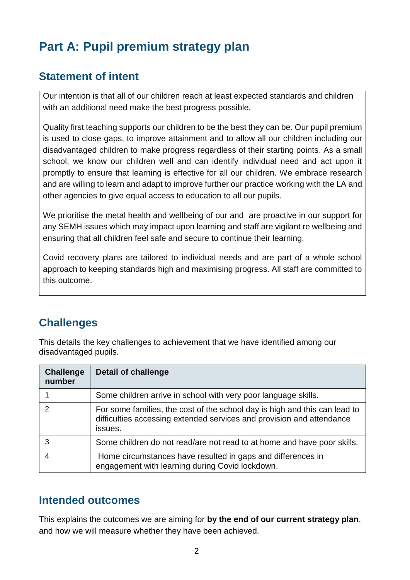# **Part A: Pupil premium strategy plan**

### **Statement of intent**

Our intention is that all of our children reach at least expected standards and children with an additional need make the best progress possible.

Quality first teaching supports our children to be the best they can be. Our pupil premium is used to close gaps, to improve attainment and to allow all our children including our disadvantaged children to make progress regardless of their starting points. As a small school, we know our children well and can identify individual need and act upon it promptly to ensure that learning is effective for all our children. We embrace research and are willing to learn and adapt to improve further our practice working with the LA and other agencies to give equal access to education to all our pupils.

We prioritise the metal health and wellbeing of our and are proactive in our support for any SEMH issues which may impact upon learning and staff are vigilant re wellbeing and ensuring that all children feel safe and secure to continue their learning.

Covid recovery plans are tailored to individual needs and are part of a whole school approach to keeping standards high and maximising progress. All staff are committed to this outcome.

## **Challenges**

This details the key challenges to achievement that we have identified among our disadvantaged pupils.

| <b>Challenge</b><br>number | <b>Detail of challenge</b>                                                                                                                                     |
|----------------------------|----------------------------------------------------------------------------------------------------------------------------------------------------------------|
|                            | Some children arrive in school with very poor language skills.                                                                                                 |
| $\mathcal{P}$              | For some families, the cost of the school day is high and this can lead to<br>difficulties accessing extended services and provision and attendance<br>issues. |
| 3                          | Some children do not read/are not read to at home and have poor skills.                                                                                        |
|                            | Home circumstances have resulted in gaps and differences in<br>engagement with learning during Covid lockdown.                                                 |

#### **Intended outcomes**

This explains the outcomes we are aiming for **by the end of our current strategy plan**, and how we will measure whether they have been achieved.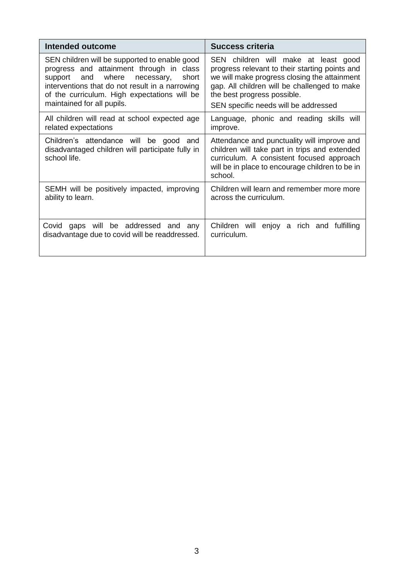| <b>Intended outcome</b>                                                                                                                                                                                                                                             | <b>Success criteria</b>                                                                                                                                                                                                                                       |
|---------------------------------------------------------------------------------------------------------------------------------------------------------------------------------------------------------------------------------------------------------------------|---------------------------------------------------------------------------------------------------------------------------------------------------------------------------------------------------------------------------------------------------------------|
| SEN children will be supported to enable good<br>progress and attainment through in class<br>support and where necessary,<br>short<br>interventions that do not result in a narrowing<br>of the curriculum. High expectations will be<br>maintained for all pupils. | SEN children will make at least good<br>progress relevant to their starting points and<br>we will make progress closing the attainment<br>gap. All children will be challenged to make<br>the best progress possible.<br>SEN specific needs will be addressed |
| All children will read at school expected age<br>related expectations                                                                                                                                                                                               | Language, phonic and reading skills will<br>improve.                                                                                                                                                                                                          |
| Children's attendance will be good and<br>disadvantaged children will participate fully in<br>school life.                                                                                                                                                          | Attendance and punctuality will improve and<br>children will take part in trips and extended<br>curriculum. A consistent focused approach<br>will be in place to encourage children to be in<br>school.                                                       |
| SEMH will be positively impacted, improving<br>ability to learn.                                                                                                                                                                                                    | Children will learn and remember more more<br>across the curriculum.                                                                                                                                                                                          |
| gaps will be addressed and any<br>Covid<br>disadvantage due to covid will be readdressed.                                                                                                                                                                           | Children will enjoy a rich and fulfilling<br>curriculum.                                                                                                                                                                                                      |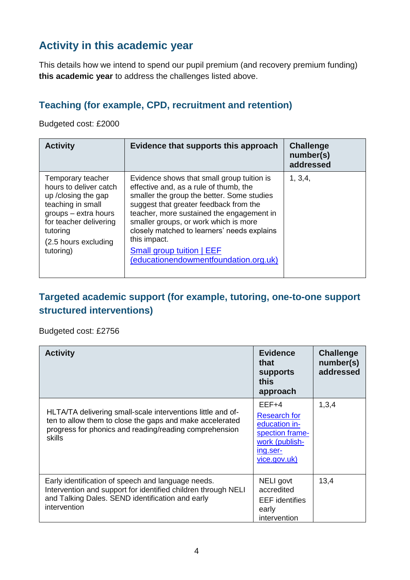### **Activity in this academic year**

This details how we intend to spend our pupil premium (and recovery premium funding) **this academic year** to address the challenges listed above.

#### **Teaching (for example, CPD, recruitment and retention)**

Budgeted cost: £2000

| <b>Activity</b>                                                                                                                                                                             | Evidence that supports this approach                                                                                                                                                                                                                                                                                                                                                                           | <b>Challenge</b><br>number(s)<br>addressed |
|---------------------------------------------------------------------------------------------------------------------------------------------------------------------------------------------|----------------------------------------------------------------------------------------------------------------------------------------------------------------------------------------------------------------------------------------------------------------------------------------------------------------------------------------------------------------------------------------------------------------|--------------------------------------------|
| Temporary teacher<br>hours to deliver catch<br>up / closing the gap<br>teaching in small<br>groups - extra hours<br>for teacher delivering<br>tutoring<br>(2.5 hours excluding<br>tutoring) | Evidence shows that small group tuition is<br>effective and, as a rule of thumb, the<br>smaller the group the better. Some studies<br>suggest that greater feedback from the<br>teacher, more sustained the engagement in<br>smaller groups, or work which is more<br>closely matched to learners' needs explains<br>this impact.<br><b>Small group tuition   EEF</b><br>(educationendowmentfoundation.org.uk) | 1, 3, 4,                                   |

#### **Targeted academic support (for example, tutoring, one-to-one support structured interventions)**

Budgeted cost: £2756

| <b>Activity</b>                                                                                                                                                                                    | <b>Evidence</b><br>that<br><b>supports</b><br>this<br>approach                                                   | <b>Challenge</b><br>number(s)<br>addressed |
|----------------------------------------------------------------------------------------------------------------------------------------------------------------------------------------------------|------------------------------------------------------------------------------------------------------------------|--------------------------------------------|
| HLTA/TA delivering small-scale interventions little and of-<br>ten to allow them to close the gaps and make accelerated<br>progress for phonics and reading/reading comprehension<br><b>skills</b> | $EEF+4$<br><b>Research for</b><br>education in-<br>spection frame-<br>work (publish-<br>ing.ser-<br>vice.gov.uk) | 1,3,4                                      |
| Early identification of speech and language needs.<br>Intervention and support for identified children through NELI<br>and Talking Dales. SEND identification and early<br>intervention            | NELI govt<br>accredited<br><b>EEF</b> identifies<br>early<br>intervention                                        | 13,4                                       |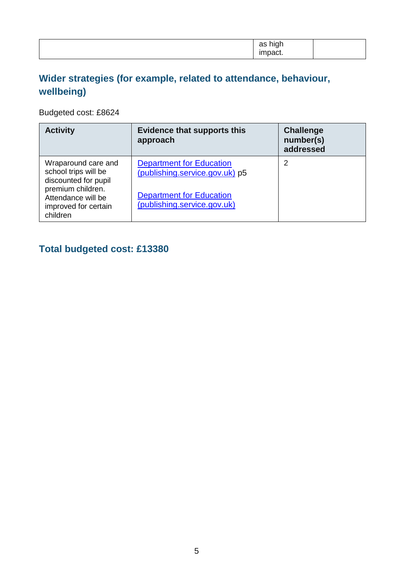|  | .<br>$\sim$<br>uu<br>.<br>paoı.<br> |  |
|--|-------------------------------------|--|
|--|-------------------------------------|--|

### **Wider strategies (for example, related to attendance, behaviour, wellbeing)**

Budgeted cost: £8624

| <b>Activity</b>                                                             | <b>Evidence that supports this</b><br>approach                    | <b>Challenge</b><br>number(s)<br>addressed |
|-----------------------------------------------------------------------------|-------------------------------------------------------------------|--------------------------------------------|
| Wraparound care and<br>school trips will be<br>discounted for pupil         | <b>Department for Education</b><br>(publishing.service.gov.uk) p5 | 2                                          |
| premium children.<br>Attendance will be<br>improved for certain<br>children | <b>Department for Education</b><br>(publishing.service.gov.uk)    |                                            |

### **Total budgeted cost: £13380**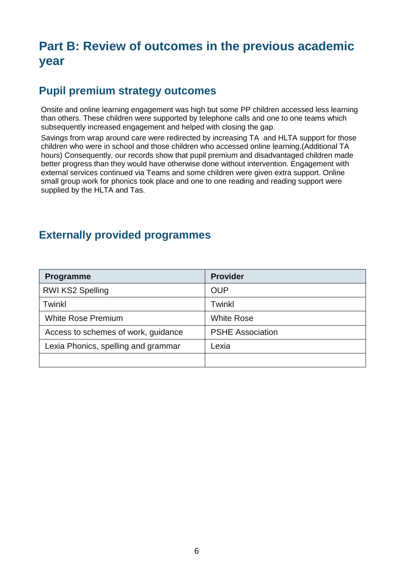## **Part B: Review of outcomes in the previous academic year**

#### **Pupil premium strategy outcomes**

Onsite and online learning engagement was high but some PP children accessed less learning than others. These children were supported by telephone calls and one to one teams which subsequently increased engagement and helped with closing the gap.

Savings from wrap around care were redirected by increasing TA and HLTA support for those children who were in school and those children who accessed online learning.(Additional TA hours) Consequently, our records show that pupil premium and disadvantaged children made better progress than they would have otherwise done without intervention. Engagement with external services continued via Teams and some children were given extra support. Online small group work for phonics took place and one to one reading and reading support were supplied by the HLTA and Tas.

#### **Externally provided programmes**

| Programme                           | <b>Provider</b>         |
|-------------------------------------|-------------------------|
| <b>RWI KS2 Spelling</b>             | <b>OUP</b>              |
| Twinkl                              | <b>Twinkl</b>           |
| <b>White Rose Premium</b>           | <b>White Rose</b>       |
| Access to schemes of work, guidance | <b>PSHE Association</b> |
| Lexia Phonics, spelling and grammar | Lexia                   |
|                                     |                         |